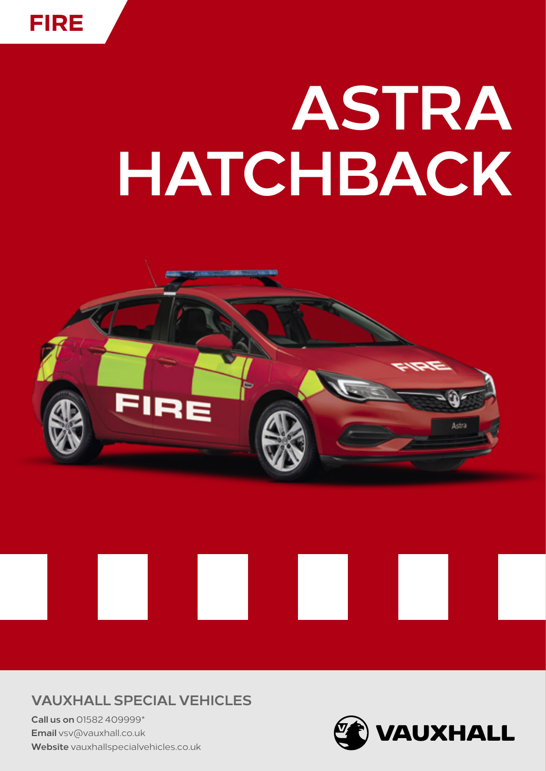

# ASTRA HATCHBACK



#### **VAUXHALL SPECIAL VEHICLES**

Call us on 01582 409999\* Email vsv@vauxhall.co.uk Website vauxhallspecialvehicles.co.uk